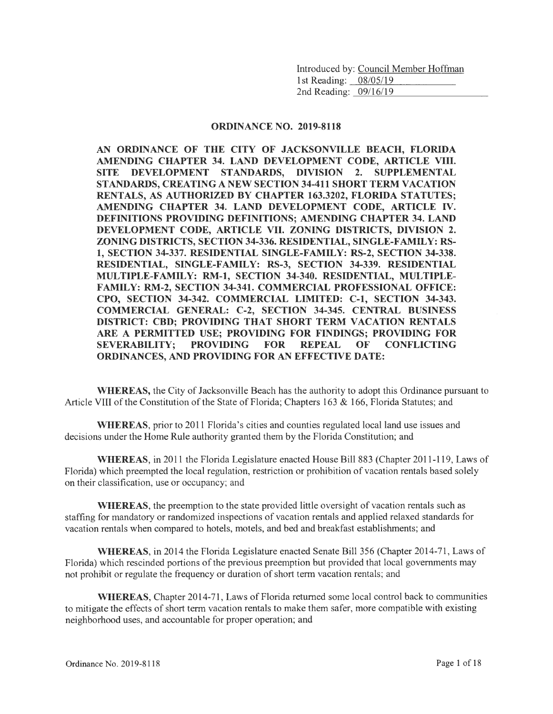Introduced by: Council Member Hoffman 1st Reading: \_08/05/19 2nd Reading:  $0.9/16/19$ 

#### ORDINANCE NO. 2019-8118

AN ORDINANCE OF THE CITY OF JACKSONVILLE BEACH, FLORIDA AMENDING CHAPTER 34. LAND DEVELOPMENT CODE, ARTICLE VIII. SITE DEVELOPMENT STANDARDS, DIVISION 2. SUPPLEMENTAL STANDARDS, CREATING A NEW SECTION 34-411 SHORT TERM VACATION RENTALS, AS AUTHORIZED BY CHAPTER 163.3202, FLORIDA STATUTES; AMENDING CHAPTER 34. LAND DEVELOPMENT CODE, ARTICLE IV. DEFINITIONS PROVIDING DEFINITIONS; AMENDING CHAPTER 34. LAND DEVELOPMENT CODE, ARTICLE VII. ZONING DISTRICTS, DIVISION 2. ZONING DISTRICTS, SECTION 34-336. RESIDENTIAL, SINGLE-FAMILY: RS-1, SECTION 34-337. RESIDENTIAL SINGLE-FAMILY: RS-2, SECTION 34-338. RESIDENTIAL, SINGLE-FAMILY: RS-3, SECTION 34-339. RESIDENTIAL MULTIPLE-FAMILY: RM-1, SECTION 34-340. RESIDENTIAL, MULTIPLE-FAMILY: RM-2, SECTION 34-341. COMMERCIAL PROFESSIONAL OFFICE: CPO, SECTION 34-342. COMMERCIAL LIMITED: C-1, SECTION 34-343. COMMERCIAL GENERAL: C-2, SECTION 34-345. CENTRAL BUSINESS DISTRICT: CBD; PROVIDING THAT SHORT TERM VACATION RENTALS ARE A PERMITTED USE; PROVIDING FOR FINDINGS; PROVIDING FOR SEVERABILITY; PROVIDING FOR REPEAL OF CONFLICTING ORDINANCES, AND PROVIDING FOR AN EFFECTIVE DATE:

WHEREAS, the City of Jacksonville Beach has the authority to adopt this Ordinance pursuant to Article VIII of the Constitution of the State of Florida; Chapters 163 & 166, Florida Statutes; and

WHEREAS, prior to 2011 Florida's cities and counties regulated local land use issues and decisions under the Home Rule authority granted them by the Florida Constitution; and

WHEREAS, in 2011 the Florida Legislature enacted House Bill 883 (Chapter 2011-119, Laws of Florida) which preempted the local regulation, restriction or prohibition of vacation rentals based solely on their classification, use or occupancy; and

WHEREAS, the preemption to the state provided little oversight of vacation rentals such as staffing for mandatory or randomized inspections of vacation rentals and applied relaxed standards for vacation rentals when compared to hotels, motels, and bed and breakfast establishments; and

WHEREAS, in 2014 the Florida Legislature enacted Senate Bill 356 (Chapter 2014-71, Laws of Florida) which rescinded portions of the previous preemption but provided that local governments may not prohibit or regulate the frequency or duration of short term vacation rentals; and

WHEREAS, Chapter 2014-71, Laws of Florida returned some local control back to communities to mitigate the effects of short term vacation rentals to make them safer, more compatible with existing neighborhood uses, and accountable for proper operation; and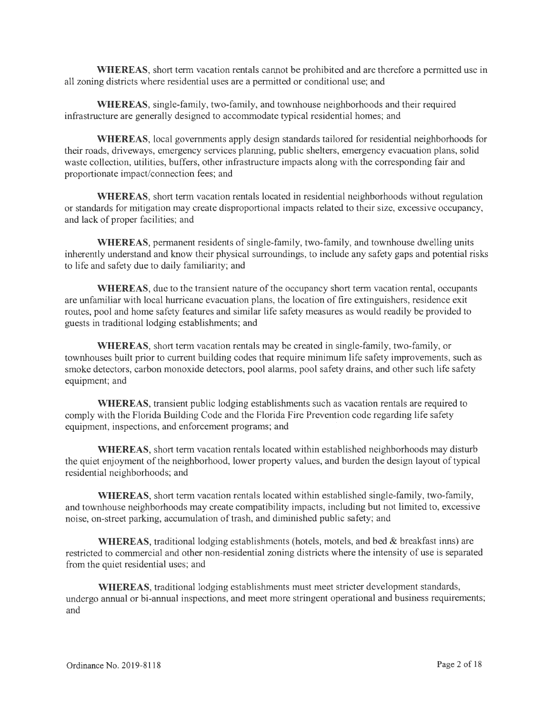**WHEREAS,** short term vacation rentals cannot be prohibited and are therefore a permitted use in all zoning districts where residential uses are a permitted or conditional use; and

**WHEREAS,** single-family, two-family, and townhouse neighborhoods and their required infrastructure are generally designed to accommodate typical residential homes; and

**WHEREAS,** local governments apply design standards tailored for residential neighborhoods for their roads, driveways, emergency services planning, public shelters, emergency evacuation plans, solid waste collection, utilities, buffers, other infrastructure impacts along with the corresponding fair and proportionate impact/connection fees; and

**WHEREAS,** short term vacation rentals located in residential neighborhoods without regulation or standards for mitigation may create disproportional impacts related to their size, excessive occupancy, and lack of proper facilities; and

**WHEREAS,** permanent residents of single-family, two-family, and townhouse dwelling units inherently understand and know their physical surroundings, to include any safety gaps and potential risks to life and safety due to daily familiarity; and

**WHEREAS,** due to the transient nature of the occupancy short term vacation rental, occupants are unfamiliar with local hurricane evacuation plans, the location of fire extinguishers, residence exit routes, pool and home safety features and similar life safety measures as would readily be provided to guests in traditional lodging establishments; and

**WHEREAS,** short term vacation rentals may be created in single-family, two-family, or townhouses built prior to current building codes that require minimum life safety improvements, such as smoke detectors, carbon monoxide detectors, pool alarms, pool safety drains, and other such life safety equipment; and

**WHEREAS,** transient public lodging establishments such as vacation rentals are required to comply with the Florida Building Code and the Florida Fire Prevention code regarding life safety equipment, inspections, and enforcement programs; and

**WHEREAS,** short term vacation rentals located within established neighborhoods may disturb the quiet enjoyment of the neighborhood, lower property values, and burden the design layout of typical residential neighborhoods; and

**WHEREAS,** short term vacation rentals located within established single-family, two-family, and townhouse neighborhoods may create compatibility impacts, including but not limited to, excessive noise, on-street parking, accumulation of trash, and diminished public safety; and

**WHEREAS,** traditional lodging establishments (hotels, motels, and bed & breakfast inns) are restricted to commercial and other non-residential zoning districts where the intensity of use is separated from the quiet residential uses; and

**WHEREAS,** traditional lodging establishments must meet stricter development standards, undergo annual or bi-annual inspections, and meet more stringent operational and business requirements; and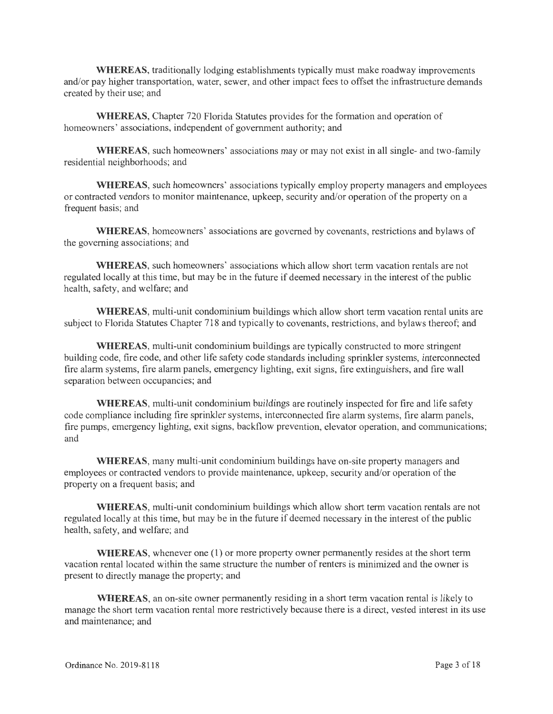**WHEREAS,** traditionally lodging establishments typically must make roadway improvements and/or pay higher transportation, water, sewer, and other impact fees to offset the infrastructure demands created by their use; and

**WHEREAS,** Chapter 720 Florida Statutes provides for the formation and operation of homeowners' associations, independent of government authority; and

**WHEREAS,** such homeowners' associations may or may not exist in all single- and two-family residential neighborhoods; and

**WHEREAS,** such homeowners' associations typically employ property managers and employees or contracted vendors to monitor maintenance, upkeep, security and/or operation of the property on a frequent basis; and

**WHEREAS,** homeowners' associations are governed by covenants, restrictions and bylaws of the governing associations; and

**WHEREAS,** such homeowners' associations which allow short term vacation rentals are not regulated locally at this time, but may be in the future if deemed necessary in the interest of the public health, safety, and welfare; and

**WHEREAS,** multi-unit condominium buildings which allow short term vacation rental units are subject to Florida Statutes Chapter 718 and typically to covenants, restrictions, and bylaws thereof; and

**WHEREAS,** multi-unit condominium buildings are typically constructed to more stringent building code, fire code, and other life safety code standards including sprinkler systems, interconnected fire alarm systems, fire alarm panels, emergency lighting, exit signs, fire extinguishers, and fire wall separation between occupancies; and

**WHEREAS,** multi-unit condominium buildings are routinely inspected for fire and life safety code compliance including fire sprinkler systems, interconnected fire alarm systems, fire alarm panels, fire pumps, emergency lighting, exit signs, backflow prevention, elevator operation, and communications; and

**WHEREAS,** many multi-unit condominium buildings have on-site property managers and employees or contracted vendors to provide maintenance, upkeep, security and/or operation of the property on a frequent basis; and

**WHEREAS,** multi-unit condominium buildings which allow short term vacation rentals are not regulated locally at this time, but may be in the future if deemed necessary in the interest of the public health, safety, and welfare; and

**WHEREAS,** whenever one (1) or more property owner permanently resides at the short term vacation rental located within the same structure the number of renters is minimized and the owner is present to directly manage the property; and

**WHEREAS,** an on-site owner permanently residing in a short term vacation rental is likely to manage the short term vacation rental more restrictively because there is a direct, vested interest in its use and maintenance; and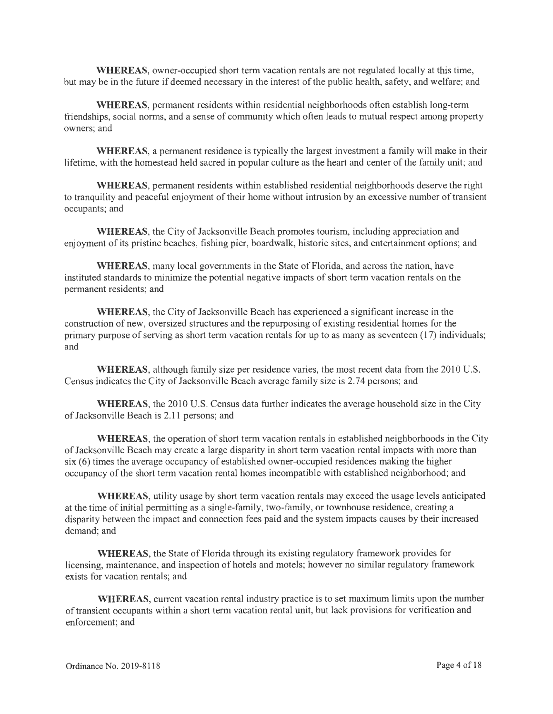**WHEREAS,** owner-occupied short term vacation rentals are not regulated locally at this time, but may be in the future if deemed necessary in the interest of the public health, safety, and welfare; and

**WHEREAS,** permanent residents within residential neighborhoods often establish long-term friendships, social norms, and a sense of community which often leads to mutual respect among property owners; and

**WHEREAS,** a permanent residence is typically the largest investment a family will make in their lifetime, with the homestead held sacred in popular culture as the heart and center of the family unit; and

**WHEREAS,** permanent residents within established residential neighborhoods deserve the right to tranquility and peaceful enjoyment of their home without intrusion by an excessive number of transient occupants; and

**WHEREAS,** the City of Jacksonville Beach promotes tourism, including appreciation and enjoyment of its pristine beaches, fishing pier, boardwalk, historic sites, and entertainment options; and

**WHEREAS,** many local governments in the State of Florida, and across the nation, have instituted standards to minimize the potential negative impacts of short term vacation rentals on the permanent residents; and

**WHEREAS,** the City of Jacksonville Beach has experienced a significant increase in the construction of new, oversized structures and the repurposing of existing residential homes for the primary purpose of serving as short term vacation rentals for up to as many as seventeen (17) individuals; and

**WHEREAS,** although family size per residence varies, the most recent data from the 2010 U.S. Census indicates the City of Jacksonville Beach average family size is 2. 74 persons; and

**WHEREAS,** the 2010 U.S. Census data further indicates the average household size in the City of Jacksonville Beach is 2.11 persons; and

**WHEREAS,** the operation of short term vacation rentals in established neighborhoods in the City of Jacksonville Beach may create a large disparity in short term vacation rental impacts with more than six (6) times the average occupancy of established owner-occupied residences making the higher occupancy of the short term vacation rental homes incompatible with established neighborhood; and

**WHEREAS,** utility usage by short term vacation rentals may exceed the usage levels anticipated at the time of initial permitting as a single-family, two-family, or townhouse residence, creating a disparity between the impact and connection fees paid and the system impacts causes by their increased demand; and

**WHEREAS,** the State of Florida through its existing regulatory framework provides for licensing, maintenance, and inspection of hotels and motels; however no similar regulatory framework exists for vacation rentals; and

**WHEREAS,** current vacation rental industry practice is to set maximum limits upon the number of transient occupants within a short term vacation rental unit, but lack provisions for verification and enforcement; and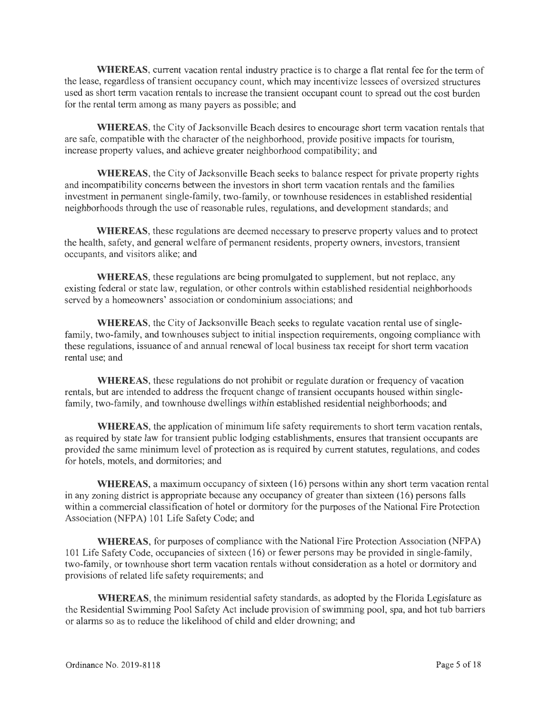**WHEREAS,** current vacation rental industry practice is to charge a flat rental fee for the term of the lease, regardless of transient occupancy count, which may incentivize lessees of oversized structures used as short term vacation rentals to increase the transient occupant count to spread out the cost burden for the rental term among as many payers as possible; and

**WHEREAS,** the City of Jacksonville Beach desires to encourage short term vacation rentals that are safe, compatible with the character of the neighborhood, provide positive impacts for tourism, increase property values, and achieve greater neighborhood compatibility; and

**WHEREAS,** the City of Jacksonville Beach seeks to balance respect for private property rights and incompatibility concerns between the investors in short term vacation rentals and the families investment in permanent single-family, two-family, or townhouse residences in established residential neighborhoods through the use of reasonable rules, regulations, and development standards; and

**WHEREAS,** these regulations are deemed necessary to preserve property values and to protect the health, safety, and general welfare of permanent residents, property owners, investors, transient occupants, and visitors alike; and

**WHEREAS,** these regulations are being promulgated to supplement, but not replace, any existing federal or state law, regulation, or other controls within established residential neighborhoods served by a homeowners' association or condominium associations; and

**WHEREAS,** the City of Jacksonville Beach seeks to regulate vacation rental use of singlefamily, two-family, and townhouses subject to initial inspection requirements, ongoing compliance with these regulations, issuance of and annual renewal of local business tax receipt for short term vacation rental use; and

**WHEREAS,** these regulations do not prohibit or regulate duration or frequency of vacation rentals, but are intended to address the frequent change of transient occupants housed within singlefamily, two-family, and townhouse dwellings within established residential neighborhoods; and

**WHEREAS,** the application of minimum life safety requirements to short term vacation rentals, as required by state law for transient public lodging establishments, ensures that transient occupants are provided the same minimum level of protection as is required by current statutes, regulations, and codes for hotels, motels, and dormitories; and

**WHEREAS,** a maximum occupancy of sixteen ( 16) persons within any short term vacation rental in any zoning district is appropriate because any occupancy of greater than sixteen ( 16) persons falls within a commercial classification of hotel or dormitory for the purposes of the National Fire Protection Association (NFPA) 101 Life Safety Code; and

**WHEREAS,** for purposes of compliance with the National Fire Protection Association (NFPA) 101 Life Safety Code, occupancies of sixteen (16) or fewer persons may be provided in single-family, two-family, or townhouse short term vacation rentals without consideration as a hotel or dormitory and provisions of related life safety requirements; and

**WHEREAS,** the minimum residential safety standards, as adopted by the Florida Legislature as the Residential Swimming Pool Safety Act include provision of swimming pool, spa, and hot tub barriers or alarms so as to reduce the likelihood of child and elder drowning; and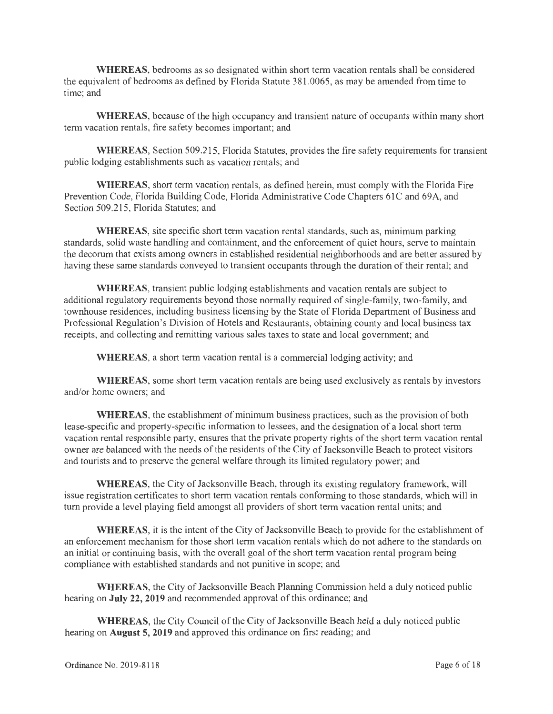**WHEREAS,** bedrooms as so designated within short term vacation rentals shall be considered the equivalent of bedrooms as defined by Florida Statute 381.0065, as may be amended from time to time; and

**WHEREAS,** because of the high occupancy and transient nature of occupants within many short term vacation rentals, fire safety becomes important; and

**WHEREAS,** Section 509.215, Florida Statutes, provides the fire safety requirements for transient public lodging establishments such as vacation rentals; and

**WHEREAS,** short term vacation rentals, as defined herein, must comply with the Florida Fire Prevention Code, Florida Building Code, Florida Administrative Code Chapters 61C and 69A, and Section 509.215, Florida Statutes; and

**WHEREAS,** site specific short term vacation rental standards, such as, minimum parking standards, solid waste handling and containment, and the enforcement of quiet hours, serve to maintain the decorum that exists among owners in established residential neighborhoods and are better assured by having these same standards conveyed to transient occupants through the duration of their rental; and

**WHEREAS,** transient public lodging establishments and vacation rentals are subject to additional regulatory requirements beyond those normally required of single-family, two-family, and townhouse residences, including business licensing by the State of Florida Department of Business and Professional Regulation's Division of Hotels and Restaurants, obtaining county and local business tax receipts, and collecting and remitting various sales taxes to state and local government; and

**WHEREAS,** a short term vacation rental is a commercial lodging activity; and

**WHEREAS,** some short term vacation rentals are being used exclusively as rentals by investors and/or home owners; and

**WHEREAS,** the establishment of minimum business practices, such as the provision of both lease-specific and property-specific information to lessees, and the designation of a local short term vacation rental responsible party, ensures that the private property rights of the short term vacation rental owner are balanced with the needs of the residents of the City of Jacksonville Beach to protect visitors and tourists and to preserve the general welfare through its limited regulatory power; and

**WHEREAS,** the City of Jacksonville Beach, through its existing regulatory framework, will issue registration certificates to short term vacation rentals conforming to those standards, which will in tum provide a level playing field amongst all providers of short term vacation rental units; and

**WHEREAS,** it is the intent of the City of Jacksonville Beach to provide for the establishment of an enforcement mechanism for those short term vacation rentals which do not adhere to the standards on an initial or continuing basis, with the overall goal of the short term vacation rental program being compliance with established standards and not punitive in scope; and

**WHEREAS,** the City of Jacksonville Beach Planning Commission held a duly noticed public hearing on **July 22, 2019** and recommended approval of this ordinance; and

**WHEREAS,** the City Council of the City of Jacksonville Beach held a duly noticed public hearing on **August 5, 2019** and approved this ordinance on first reading; and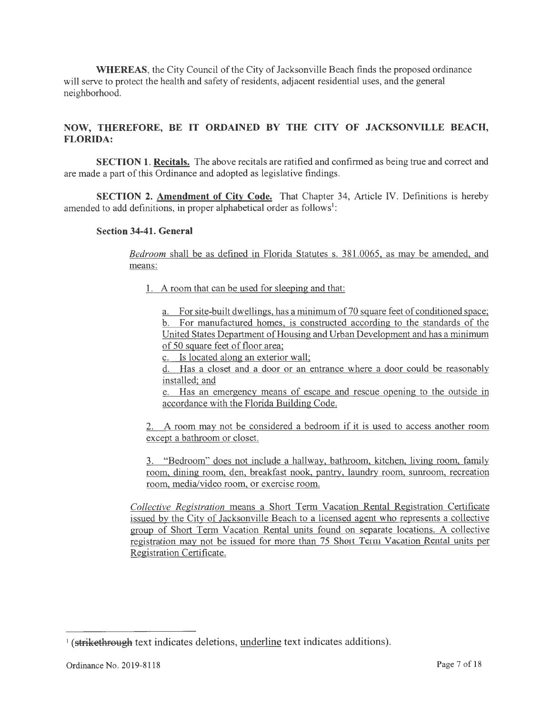**WHEREAS,** the City Council of the City of Jacksonville Beach finds the proposed ordinance will serve to protect the health and safety of residents, adjacent residential uses, and the general neighborhood.

# **NOW, THEREFORE, BE IT ORDAINED BY THE CITY OF JACKSONVILLE BEACH, FLORIDA:**

**SECTION 1. Recitals.** The above recitals are ratified and confirmed as being true and correct and are made a part of this Ordinance and adopted as legislative findings.

**SECTION 2. Amendment of City Code.** That Chapter 34, Article IV. Definitions is hereby amended to add definitions, in proper alphabetical order as follows<sup>1</sup>:

### **Section 34-41. General**

*Bedroom* shall be as defined in Florida Statutes s. 381.0065, as may be amended, and means:

1. A room that can be used for sleeping and that:

a. For site-built dwellings, has a minimum of 70 square feet of conditioned space; b. For manufactured homes, is constructed according to the standards of the United States Department of Housing and Urban Development and has a minimum of 50 square feet of floor area;

c. Is located along an exterior wall;

d. Has a closet and a door or an entrance where a door could be reasonably installed; and

e. Has an emergency means of escape and rescue opening to the outside in accordance with the Florida Building Code.

2. A room may not be considered a bedroom if it is used to access another room except a bathroom or closet.

3. "Bedroom" does not include a hallway, bathroom, kitchen, living room, family room, dining room, den, breakfast nook, pantry, laundry room, sunroom, recreation room, media/video room, or exercise room.

*Collective Registration* means a Short Term Vacation Rental Registration Certificate issued by the City of Jacksonville Beach to a licensed agent who represents a collective group of Short Term Vacation Rental units found on separate locations. A collective registration may not be issued for more than 75 Short Term Vacation Rental units per Registration Certificate.

<sup>&</sup>lt;sup>1</sup> (strikethrough text indicates deletions, underline text indicates additions).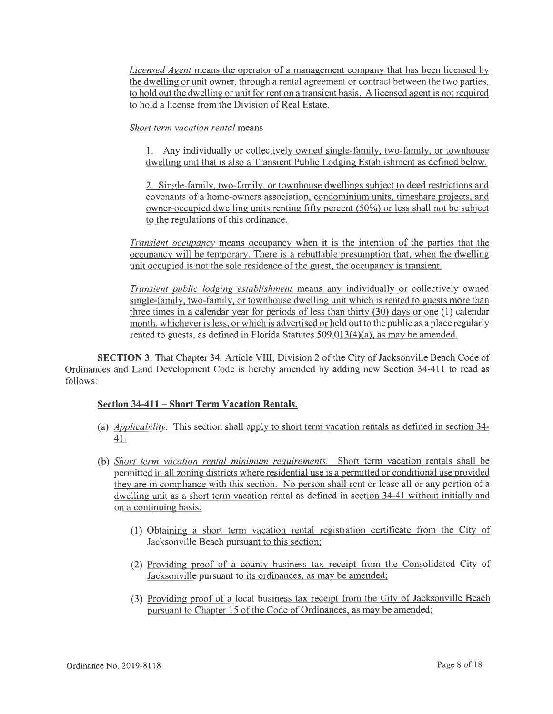*Licensed Agent* means the operator of a management company that has been licensed by the dwelling or unit owner, through a rental agreement or contract between the two parties, to hold out the dwelling or unit for rent on a transient basis. A licensed agent is not required to hold a license from the Division of Real Estate.

### *Short term vacation rental* means

1. Any individually or collectively owned single-family, two-family, or townhouse dwelling unit that is also a Transient Public Lodging Establishment as defined below.

2. Single-family, two-family, or townhouse dwellings subject to deed restrictions and covenants of a home-owners association, condominium units, timeshare projects, and owner-occupied dwelling units renting fifty percent (50%) or less shall not be subject to the regulations of this ordinance.

*Transient occupancy* means occupancy when it is the intention of the parties that the occupancy will be temporary. There is a rebuttable presumption that, when the dwelling unit occupied is not the sole residence of the guest, the occupancy is transient.

*Transient public lodging establishment* means any individually or collectively owned single-family, two-family, or townhouse dwelling unit which is rented to guests more than three times in a calendar year for periods of less than thirty (30) days or one (1) calendar month, whichever is less, or which is advertised or held out to the public as a place regularly rented to guests, as defined in Florida Statutes 509.013(4)(a), as may be amended.

**SECTION** 3. That Chapter 34, Article VIII, Division 2 of the City of Jacksonville Beach Code of Ordinances and Land Development Code is hereby amended by adding new Section 34-411 to read as follows:

# **Section 34-411- Short Term Vacation Rentals.**

- (a) *Applicability.* This section shall apply to short term vacation rentals as defined in section 34- 41.
- (b) *Short term vacation rental minimum requirements.* Short term vacation rentals shall be permitted in all zoning districts where residential use is a permitted or conditional use provided they are in compliance with this section. No person shall rent or lease all or any portion of a dwelling unit as a short term vacation rental as defined in section 34-41 without initially and on a continuing basis:
	- (1) Obtaining a short term vacation rental registration certificate from the City of Jacksonville Beach pursuant to this section;
	- (2) Providing proof of a county business tax receipt from the Consolidated City of Jacksonville pursuant to its ordinances, as may be amended;
	- (3) Providing proof of a local business tax receipt from the City of Jacksonville Beach pursuant to Chapter 15 of the Code of Ordinances, as may be amended;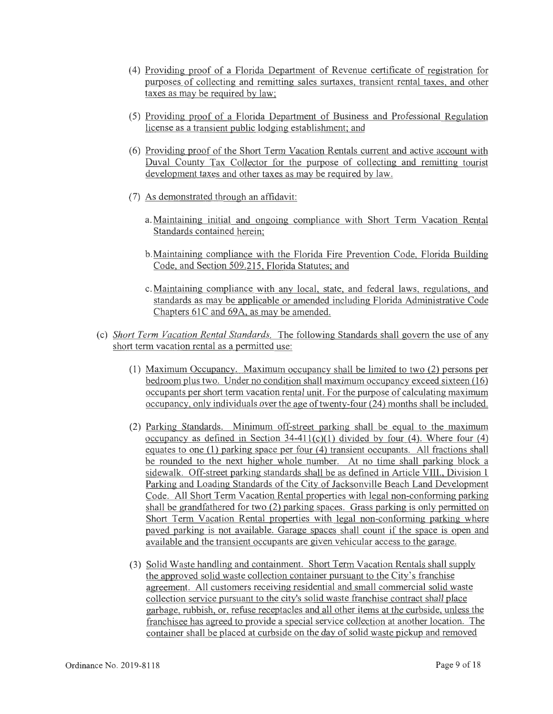- ( 4) Providing proof of a Florida Department of Revenue certificate of registration for purposes of collecting and remitting sales surtaxes, transient rental taxes, and other taxes as may be required by law;
- (5) Providing proof of a Florida Department of Business and Professional Regulation license as a transient public lodging establishment; and
- (6) Providing proof of the Short Term Vacation Rentals current and active account with Duval County Tax Collector for the purpose of collecting and remitting tourist development taxes and other taxes as may be required by law.
- (7) As demonstrated through an affidavit:
	- a. Maintaining initial and ongoing compliance with Short Term Vacation Rental Standards contained herein;
	- b.Maintaining compliance with the Florida Fire Prevention Code, Florida Building Code, and Section 509 .215, Florida Statutes; and
	- c. Maintaining compliance with any local, state, and federal laws, regulations, and standards as may be applicable or amended including Florida Administrative Code Chapters 61C and 69A, as may be amended.
- (c) *Short Term Vacation Rental Standards.* The following Standards shall govern the use of any short term vacation rental as a permitted use:
	- (1) Maximum Occupancy. Maximum occupancy shall be limited to two (2) persons per bedroom plus two. Under no condition shall maximum occupancy exceed sixteen (16) occupants per short term vacation rental unit. For the purpose of calculating maximum occupancy, only individuals over the age of twenty-four (24) months shall be included.
	- (2) Parking Standards. Minimum off-street parking shall be equal to the maximum occupancy as defined in Section  $34-411(c)(1)$  divided by four (4). Where four (4) equates to one  $(1)$  parking space per four  $(4)$  transient occupants. All fractions shall be rounded to the next higher whole number. At no time shall parking block a sidewalk. Off-street parking standards shall be as defined in Article VIII., Division 1 Parking and Loading Standards of the City of Jacksonville Beach Land Development Code. All Short Term Vacation Rental properties with legal non-conforming parking shall be grandfathered for two (2) parking spaces. Grass parking is only permitted on Short Term Vacation Rental properties with legal non-conforming parking where paved parking is not available. Garage spaces shall count if the space is open and available and the transient occupants are given vehicular access to the garage.
	- (3) Solid Waste handling and containment. Short Term Vacation Rentals shall supply the approved solid waste collection container pursuant to the City's franchise agreement. All customers receiving residential and small commercial solid waste collection service pursuant to the city's solid waste franchise contract shall place garbage, rubbish, or, refuse receptacles and all other items at the curbside, unless the franchisee has agreed to provide a special service collection at another location. The container shall be placed at curbside on the day of solid waste pickup and removed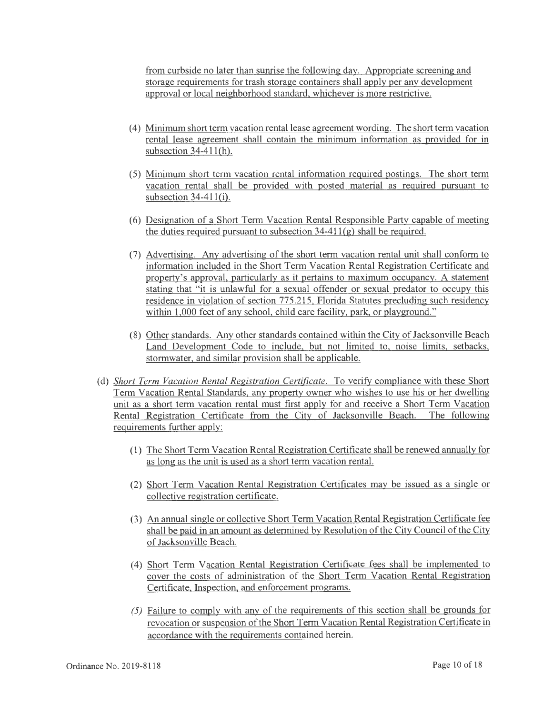from curbside no later than sunrise the following day. Appropriate screening and storage requirements for trash storage containers shall apply per any development approval or local neighborhood standard, whichever is more restrictive.

- ( 4) Minimum short term vacation rental lease agreement wording. The short term vacation rental lease agreement shall contain the minimum information as provided for in subsection  $34-411$ (h).
- (5) Minimum short term vacation rental information required postings. The short term vacation rental shall be provided with posted material as required pursuant to subsection  $34-411(i)$ .
- (6) Designation of a Short Term Vacation Rental Responsible Party capable of meeting the duties required pursuant to subsection  $34-411(g)$  shall be required.
- (7) Advertising. Any advertising of the short term vacation rental unit shall conform to information included in the Short Term Vacation Rental Registration Certificate and property's approval, particularly as it pertains to maximum occupancy. A statement stating that "it is unlawful for a sexual offender or sexual predator to occupy this residence in violation of section 775.215, Florida Statutes precluding such residency within 1,000 feet of any school, child care facility, park, or playground."
- (8) Other standards. Any other standards contained within the City of Jacksonville Beach Land Development Code to include, but not limited to, noise limits, setbacks, stormwater, and similar provision shall be applicable.
- (d) *Short Term Vacation Rental Registration Certificate.* To verify compliance with these Short Term Vacation Rental Standards, any property owner who wishes to use his or her dwelling unit as a short term vacation rental must first apply for and receive a Short Term Vacation Rental Registration Certificate from the City of Jacksonville Beach. The following requirements further apply:
	- (1) The Short Term Vacation Rental Registration Certificate shall be renewed annually for as long as the unit is used as a short term vacation rental.
	- (2) Short Term Vacation Rental Registration Certificates may be issued as a single or collective registration certificate.
	- (3) An annual single or collective Short Term Vacation Rental Registration Certificate fee shall be paid in an amount as determined by Resolution of the City Council of the City of Jacksonville Beach.
	- (4) Short Term Vacation Rental Registration Certificate fees shall be implemented to cover the costs of administration of the Short Term Vacation Rental Registration Certificate, Inspection, and enforcement programs.
	- *(5)* Failure to comply with any of the requirements of this section shall be grounds for revocation or suspension of the Short Term Vacation Rental Registration Certificate in accordance with the requirements contained herein.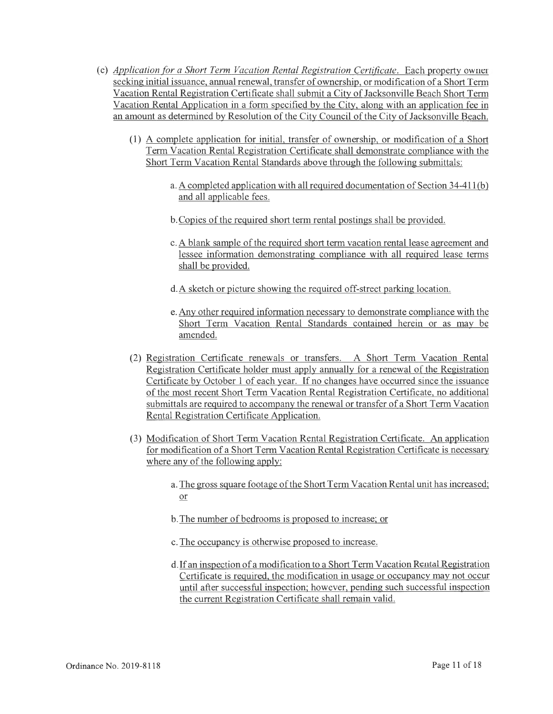- (e) *Application (or a Short Term Vacation Rental Registration Certificate.* Each property owner seeking initial issuance, annual renewal, transfer of ownership, or modification of a Short Term Vacation Rental Registration Certificate shall submit a City of Jacksonville Beach Short Term Vacation Rental Application in a form specified by the City, along with an application fee in an amount as determined by Resolution of the City Council of the City of Jacksonville Beach.
	- (1) A complete application for initial, transfer of ownership, or modification of a Short Term Vacation Rental Registration Certificate shall demonstrate compliance with the Short Term Vacation Rental Standards above through the following submittals:
		- a. A completed application with all required documentation of Section 34-411 (b) and all applicable fees.
		- b. Copies of the required short term rental postings shall be provided.
		- c. A blank sample of the required short term vacation rental lease agreement and lessee information demonstrating compliance with all required lease terms shall be provided.
		- d.A sketch or picture showing the required off-street parking location.
		- e. Any other required information necessary to demonstrate compliance with the Short Term Vacation Rental Standards contained herein or as may be amended.
	- (2) Registration Certificate renewals or transfers. A Short Term Vacation Rental Registration Certificate holder must apply annually for a renewal of the Registration Certificate by October 1 of each year. If no changes have occurred since the issuance of the most recent Short Term Vacation Rental Registration Certificate, no additional submittals are required to accompany the renewal or transfer of a Short Term Vacation Rental Registration Certificate Application.
	- (3) Modification of Short Term Vacation Rental Registration Certificate. An application for modification of a Short Term Vacation Rental Registration Certificate is necessary where any of the following apply:
		- a. The gross square footage of the Short Term Vacation Rental unit has increased; or
		- b. The number of bedrooms is proposed to increase; or
		- c. The occupancy is otherwise proposed to increase.
		- d. If an inspection of a modification to a Short Term Vacation Rental Registration Certificate is required, the modification in usage or occupancy may not occur until after successful inspection; however, pending such successful inspection the current Registration Certificate shall remain valid.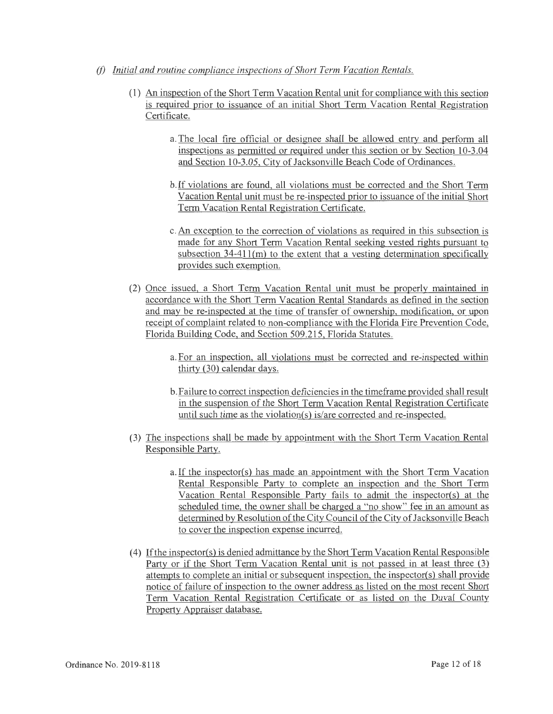- *(f)* Initial and routine compliance inspections of Short Term Vacation Rentals.
	- (1) An inspection of the Short Term Vacation Rental unit for compliance with this section is required prior to issuance of an initial Short Term Vacation Rental Registration Certificate.
		- a. The local fire official or designee shall be allowed entry and perform all inspections as permitted or required under this section or by Section 10-3.04 and Section 10-3.05, City of Jacksonville Beach Code of Ordinances.
		- b.If violations are found, all violations must be corrected and the Short Term Vacation Rental unit must be re-inspected prior to issuance of the initial Short Term Vacation Rental Registration Certificate.
		- c. An exception to the correction of violations as required in this subsection is made for any Short Term Vacation Rental seeking vested rights pursuant to subsection 34-411(m) to the extent that a vesting determination specifically provides such exemption.
	- (2) Once issued, a Short Term Vacation Rental unit must be properly maintained in accordance with the Short Term Vacation Rental Standards as defined in the section and may be re-inspected at the time of transfer of ownership, modification, or upon receipt of complaint related to non-compliance with the Florida Fire Prevention Code, Florida Building Code, and Section 509.215, Florida Statutes.
		- a. For an inspection, all violations must be corrected and re-inspected within thirty (30) calendar days.
		- b.Failure to correct inspection deficiencies in the timeframe provided shall result in the suspension of the Short Term Vacation Rental Registration Certificate until such time as the violation(s) is/are corrected and re-inspected.
	- (3) The inspections shall be made by appointment with the Short Term Vacation Rental Responsible Party.
		- a. If the inspector(s) has made an appointment with the Short Term Vacation Rental Responsible Party to complete an inspection and the Short Term Vacation Rental Responsible Party fails to admit the inspector(s) at the scheduled time, the owner shall be charged a "no show" fee in an amount as determined by Resolution of the City Council of the City of Jacksonville Beach to cover the inspection expense incurred.
	- (4) If the inspector(s) is denied admittance by the Short Term Vacation Rental Responsible Party or if the Short Term Vacation Rental unit is not passed in at least three  $(3)$ attempts to complete an initial or subsequent inspection, the inspector(s) shall provide notice of failure of inspection to the owner address as listed on the most recent Short Term Vacation Rental Registration Certificate or as listed on the Duval County Property Appraiser database.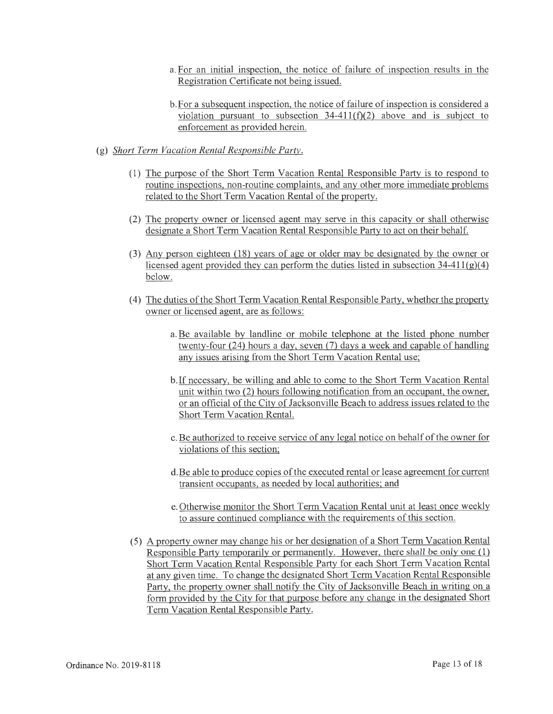- a. For an initial inspection, the notice of failure of inspection results in the Registration Certificate not being issued.
- b.For a subseguent inspection, the notice of failure of inspection is considered a violation pursuant to subsection  $34-411(f)(2)$  above and is subject to enforcement as provided herein.
- (g) *Short Term Va cation Rental Responsible Party.* 
	- (1) The purpose of the Short Term Vacation Rental Responsible Party is to respond to routine inspections, non-routine complaints, and any other more immediate problems related to the Short Term Vacation Rental of the property.
	- (2) The property owner or licensed agent may serve in this capacity or shall otherwise designate a Short Term Vacation Rental Responsible Party to act on their behalf.
	- (3) Any person eighteen (18) years of age or older may be designated by the owner or licensed agent provided they can perform the duties listed in subsection 34-411(g)(4) below.
	- (4) The duties of the Short Term Vacation Rental Responsible Party, whether the property owner or licensed agent, are as follows:
		- a. Be available by landline or mobile telephone at the listed phone number twenty-four (24) hours a day, seven (7) days a week and capable of handling any issues arising from the Short Term Vacation Rental use;
		- b.If necessary, be willing and able to come to the Short Term Vacation Rental unit within two (2) hours following notification from an occupant, the owner, or an official of the City of Jacksonville Beach to address issues related to the Short Term Vacation Rental.
		- c. Be authorized to receive service of any legal notice on behalf of the owner for violations of this section;
		- d.Be able to produce copies of the executed rental or lease agreement for current transient occupants, as needed by local authorities; and
		- e. Otherwise monitor the Short Term Vacation Rental unit at least once weekly to assure continued compliance with the requirements of this section.
	- (5) A property owner may change his or her designation of a Short Term Vacation Rental Responsible Party temporarily or permanently. However, there shall be only one (1) Short Term Vacation Rental Responsible Party for each Short Term Vacation Rental at any given time. To change the designated Short Term Vacation Rental Responsible Party, the property owner shall notify the City of Jacksonville Beach in writing on a form provided by the City for that purpose before any change in the designated Short Term Vacation Rental Responsible Party.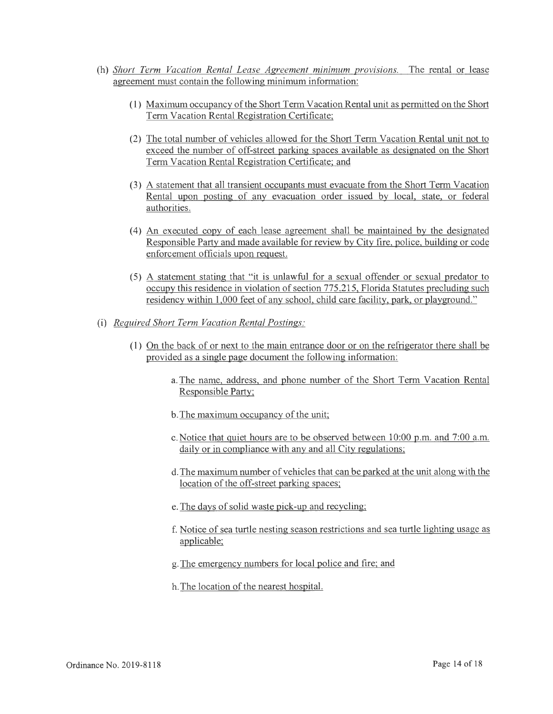- (h) *Short Term Vacation Rental Lease Agreement minimum provisions.* The rental or lease agreement must contain the following minimum information:
	- (1) Maximum occupancy of the Short Term Vacation Rental unit as permitted on the Short Term Vacation Rental Registration Certificate;
	- (2) The total number of vehicles allowed for the Short Term Vacation Rental unit not to exceed the number of off-street parking spaces available as designated on the Short Term Vacation Rental Registration Certificate; and
	- (3) A statement that all transient occupants must evacuate from the Short Term Vacation Rental upon posting of any evacuation order issued by local, state, or federal authorities.
	- ( 4) An executed copy of each lease agreement shall be maintained by the designated Responsible Party and made available for review by City fire, police, building or code enforcement officials upon request.
	- (5) A statement stating that "it is unlawful for a sexual offender or sexual predator to occupy this residence in violation of section 775.215, Florida Statutes precluding such residency within 1,000 feet of any school, child care facility, park, or playground."
- (i) *Required Short Term Vacation Rental Postings:* 
	- (1) On the back of or next to the main entrance door or on the refrigerator there shall be provided as a single page document the following information:
		- a. The name, address, and phone number of the Short Term Vacation Rental Responsible Party;
		- b. The maximum occupancy of the unit;
		- c.Notice that quiet hours are to be observed between 10:00 p.m. and 7:00 a.m. daily or in compliance with any and all City regulations;
		- d. The maximum number of vehicles that can be parked at the unit along with the location of the off-street parking spaces;
		- e. The days of solid waste pick-up and recycling;
		- f. Notice of sea turtle nesting season restrictions and sea turtle lighting usage as applicable;
		- g. The emergency numbers for local police and fire; and
		- h. The location of the nearest hospital.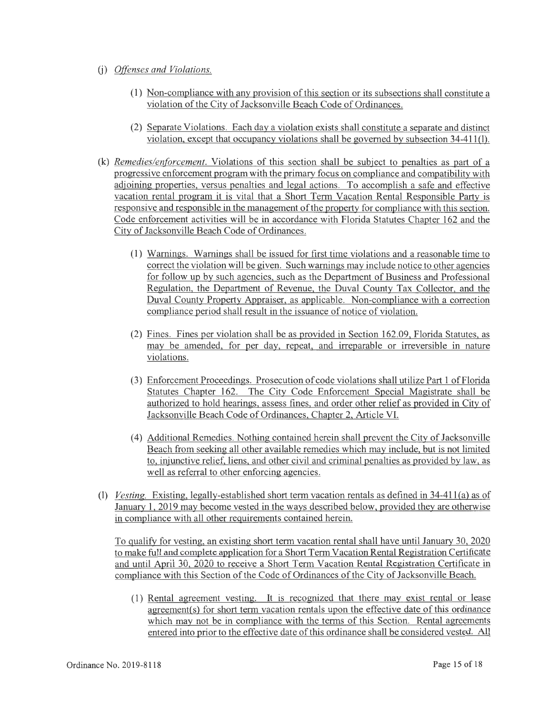- (j) *Offenses and Violations.* 
	- (1) Non-compliance with any provision of this section or its subsections shall constitute a violation of the City of Jacksonville Beach Code of Ordinances.
	- (2) Separate Violations. Each day a violation exists shall constitute a separate and distinct violation, except that occupancy violations shall be governed by subsection 34-411(1).
- (k) *Remedies/enforcement.* Violations of this section shall be subject to penalties as part of a progressive enforcement program with the primary focus on compliance and compatibility with adjoining properties, versus penalties and legal actions. To accomplish a safe and effective vacation rental program it is vital that a Short Term Vacation Rental Responsible Party is responsive and responsible in the management of the property for compliance with this section. Code enforcement activities will be in accordance with Florida Statutes Chapter 162 and the City of Jacksonville Beach Code of Ordinances.
	- ( 1) Warnings. Warnings shall be issued for first time violations and a reasonable time to correct the violation will be given. Such warnings may include notice to other agencies for follow up by such agencies, such as the Department of Business and Professional Regulation, the Department of Revenue, the Duval County Tax Collector, and the Duval County Property Appraiser, as applicable. Non-compliance with a correction compliance period shall result in the issuance of notice of violation.
	- (2) Fines. Fines per violation shall be as provided in Section 162.09, Florida Statutes, as may be amended, for per day, repeat, and irreparable or irreversible in nature violations.
	- (3) Enforcement Proceedings. Prosecution of code violations shall utilize Part 1 of Florida Statutes Chapter 162. The City Code Enforcement Special Magistrate shall be authorized to hold hearings, assess fines, and order other relief as provided in City of Jacksonville Beach Code of Ordinances, Chapter 2, Article VI.
	- ( 4) Additional Remedies. Nothing contained herein shall prevent the City of Jacksonville Beach from seeking all other available remedies which may include, but is not limited to, injunctive relief, liens, and other civil and criminal penalties as provided by law, as well as referral to other enforcing agencies.
- (1) *Vesting.* Existing, legally-established short term vacation rentals as defined in 34-41 l(a) as of January l, 2019 may become vested in the ways described below, provided they are otherwise in compliance with all other requirements contained herein.

To qualify for vesting, an existing short term vacation rental shall have until January 30, 2020 to make full and complete application for a Short Term Vacation Rental Registration Certificate and until April 30, 2020 to receive a Short Term Vacation Rental Registration Certificate in compliance with this Section of the Code of Ordinances of the City of Jacksonville Beach.

( 1) Rental agreement vesting. It is recognized that there may exist rental or lease agreement(s) for short term vacation rentals upon the effective date of this ordinance which may not be in compliance with the terms of this Section. Rental agreements entered into prior to the effective date of this ordinance shall be considered vested. All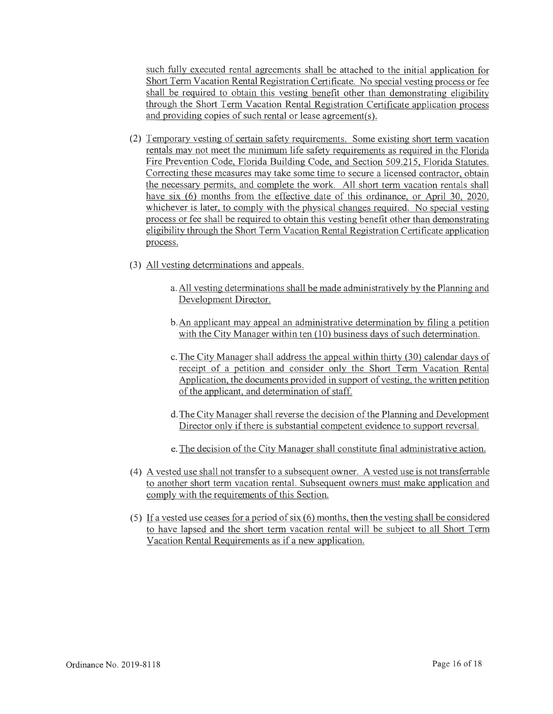such fully executed rental agreements shall be attached to the initial application for Short Term Vacation Rental Registration Certificate. No special vesting process or fee shall be required to obtain this vesting benefit other than demonstrating eligibility through the Short Term Vacation Rental Registration Certificate application process and providing copies of such rental or lease agreement(s).

- (2) Temporary vesting of certain safety requirements. Some existing short term vacation rentals may not meet the minimum life safety requirements as required in the Florida Fire Prevention Code, Florida Building Code, and Section 509.215, Florida Statutes. Correcting these measures may take some time to secure a licensed contractor, obtain the necessary permits, and complete the work. All short term vacation rentals shall have six (6) months from the effective date of this ordinance, or April 30, 2020, whichever is later, to comply with the physical changes required. No special vesting process or fee shall be required to obtain this vesting benefit other than demonstrating eligibility through the Short Term Vacation Rental Registration Certificate application process.
- (3) All vesting determinations and appeals.
	- a. All vesting determinations shall be made administratively by the Planning and Development Director.
	- b.An applicant may appeal an administrative determination by filing a petition with the City Manager within ten (10) business days of such determination.
	- c. The City Manager shall address the appeal within thirty (30) calendar days of receipt of a petition and consider only the Short Term Vacation Rental Application, the documents provided in support of vesting, the written petition of the applicant, and determination of staff.
	- d. The City Manager shall reverse the decision of the Planning and Development Director only if there is substantial competent evidence to support reversal.
	- e. The decision of the City Manager shall constitute final administrative action.
- ( 4) A vested use shall not transfer to a subsequent owner. A vested use is not transferrable to another short term vacation rental. Subsequent owners must make application and comply with the requirements of this Section.
- (5) If a vested use ceases for a period of six  $(6)$  months, then the vesting shall be considered to have lapsed and the short term vacation rental will be subject to all Short Term Vacation Rental Requirements as if a new application.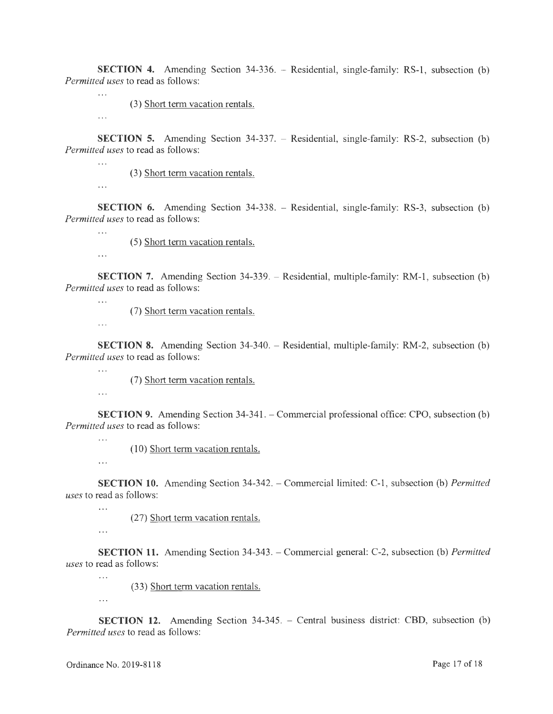**SECTION 4.** Amending Section 34-336. – Residential, single-family: RS-1, subsection (b) *Permitted uses* to read as follows:

(3) Short term vacation rentals.

**SECTION 5.** Amending Section 34-337. – Residential, single-family: RS-2, subsection (b) *Permitted uses* to read as follows:

(3) Short term vacation rentals.

 $\ddotsc$ 

 $\mathbb{R}$ 

 $\ddotsc$ 

 $\ddotsc$ 

 $\ddotsc$ 

 $\ldots$ 

**SECTION 6.** Amending Section 34-338. – Residential, single-family: RS-3, subsection (b) *Permitted uses* to read as follows:

(5) Short term vacation rentals.

**SECTION 7.** Amending Section 34-339. – Residential, multiple-family: RM-1, subsection (b) *Permitted uses* to read as follows:

(7) Short term vacation rentals.

 $\sim$  .

 $\ddotsc$ 

 $\ddotsc$ 

 $\ddotsc$ 

**SECTION 8.** Amending Section 34-340. - Residential, multiple-family: RM-2, subsection (b) *Permitted uses* to read as follows:

(7) Short term vacation rentals.

**SECTION 9.** Amending Section 34-341. – Commercial professional office: CPO, subsection (b) *Permitted uses* to read as follows:

(10) Short term vacation rentals.

 $\ddotsc$ 

 $\dddotsc$ 

**SECTION 10.** Amending Section 34-342. - Commercial limited: C-1 , subsection (b) *Permitted uses* to read as follows:

(27) Short term vacation rentals.

 $\ldots$ 

 $\ddotsc$ 

**SECTION 11.** Amending Section 34-343. - Commercial general: C-2, subsection (b) *Permitted uses* to read as follows:

(33) Short term vacation rentals.

 $\cdots$ 

 $\dddotsc$ 

**SECTION 12.** Amending Section 34-345. - Central business district: CBD, subsection (b) *Permitted uses* to read as follows: